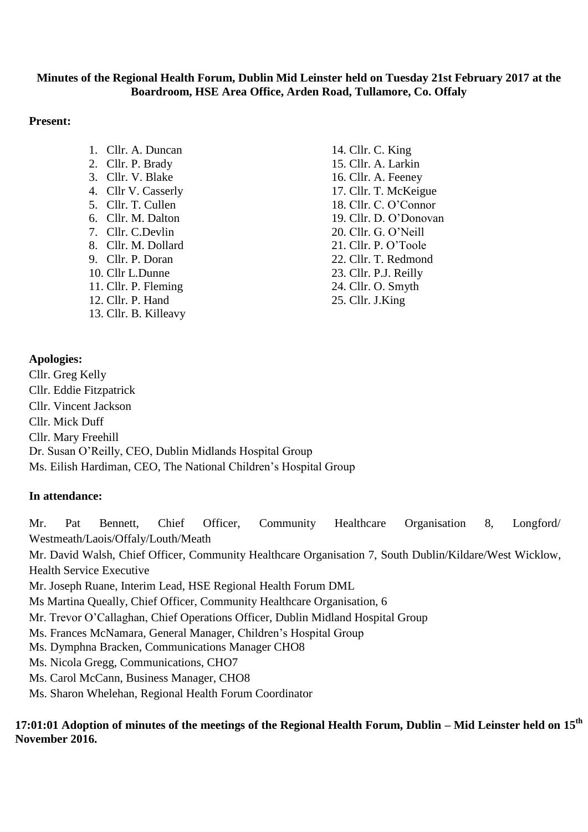## **Minutes of the Regional Health Forum, Dublin Mid Leinster held on Tuesday 21st February 2017 at the Boardroom, HSE Area Office, Arden Road, Tullamore, Co. Offaly**

## **Present:**

- 1. Cllr. A. Duncan
- 2. Cllr. P. Brady
- 3. Cllr. V. Blake
- 4. Cllr V. Casserly
- 5. Cllr. T. Cullen
- 6. Cllr. M. Dalton
- 7. Cllr. C.Devlin
- 8. Cllr. M. Dollard
- 9. Cllr. P. Doran
- 10. Cllr L.Dunne
- 11. Cllr. P. Fleming 12. Cllr. P. Hand
- 13. Cllr. B. Killeavy

14. Cllr. C. King 15. Cllr. A. Larkin 16. Cllr. A. Feeney 17. Cllr. T. McKeigue 18. Cllr. C. O'Connor 19. Cllr. D. O'Donovan 20. Cllr. G. O'Neill 21. Cllr. P. O'Toole 22. Cllr. T. Redmond 23. Cllr. P.J. Reilly 24. Cllr. O. Smyth 25. Cllr. J.King

# **Apologies:**

Cllr. Greg Kelly Cllr. Eddie Fitzpatrick Cllr. Vincent Jackson Cllr. Mick Duff Cllr. Mary Freehill Dr. Susan O'Reilly, CEO, Dublin Midlands Hospital Group Ms. Eilish Hardiman, CEO, The National Children's Hospital Group

## **In attendance:**

Mr. Pat Bennett, Chief Officer, Community Healthcare Organisation 8, Longford/ Westmeath/Laois/Offaly/Louth/Meath Mr. David Walsh, Chief Officer, Community Healthcare Organisation 7, South Dublin/Kildare/West Wicklow, Health Service Executive Mr. Joseph Ruane, Interim Lead, HSE Regional Health Forum DML Ms Martina Queally, Chief Officer, Community Healthcare Organisation, 6 Mr. Trevor O'Callaghan, Chief Operations Officer, Dublin Midland Hospital Group Ms. Frances McNamara, General Manager, Children's Hospital Group Ms. Dymphna Bracken, Communications Manager CHO8 Ms. Nicola Gregg, Communications, CHO7 Ms. Carol McCann, Business Manager, CHO8 Ms. Sharon Whelehan, Regional Health Forum Coordinator

**17:01:01 Adoption of minutes of the meetings of the Regional Health Forum, Dublin – Mid Leinster held on 15th November 2016.**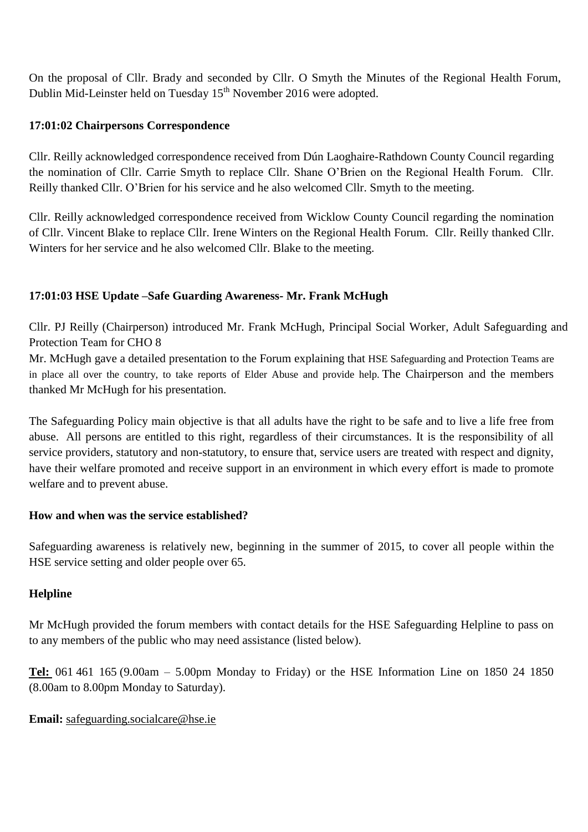On the proposal of Cllr. Brady and seconded by Cllr. O Smyth the Minutes of the Regional Health Forum, Dublin Mid-Leinster held on Tuesday 15<sup>th</sup> November 2016 were adopted.

## **17:01:02 Chairpersons Correspondence**

Cllr. Reilly acknowledged correspondence received from Dún Laoghaire-Rathdown County Council regarding the nomination of Cllr. Carrie Smyth to replace Cllr. Shane O'Brien on the Regional Health Forum. Cllr. Reilly thanked Cllr. O'Brien for his service and he also welcomed Cllr. Smyth to the meeting.

Cllr. Reilly acknowledged correspondence received from Wicklow County Council regarding the nomination of Cllr. Vincent Blake to replace Cllr. Irene Winters on the Regional Health Forum. Cllr. Reilly thanked Cllr. Winters for her service and he also welcomed Cllr. Blake to the meeting.

# **17:01:03 HSE Update –Safe Guarding Awareness- Mr. Frank McHugh**

Cllr. PJ Reilly (Chairperson) introduced Mr. Frank McHugh, Principal Social Worker, Adult Safeguarding and Protection Team for CHO 8

Mr. McHugh gave a detailed presentation to the Forum explaining that HSE Safeguarding and Protection Teams are in place all over the country, to take reports of Elder Abuse and provide help. The Chairperson and the members thanked Mr McHugh for his presentation.

The Safeguarding Policy main objective is that all adults have the right to be safe and to live a life free from abuse. All persons are entitled to this right, regardless of their circumstances. It is the responsibility of all service providers, statutory and non-statutory, to ensure that, service users are treated with respect and dignity, have their welfare promoted and receive support in an environment in which every effort is made to promote welfare and to prevent abuse.

## **How and when was the service established?**

Safeguarding awareness is relatively new, beginning in the summer of 2015, to cover all people within the HSE service setting and older people over 65.

# **Helpline**

Mr McHugh provided the forum members with contact details for the HSE Safeguarding Helpline to pass on to any members of the public who may need assistance (listed below).

**[Tel:](tel:061)** 061 461 165 (9.00am – 5.00pm Monday to Friday) or the HSE Information Line on 1850 24 1850 (8.00am to 8.00pm Monday to Saturday).

## **Email:** [safeguarding.socialcare@hse.ie](mailto:safeguarding.socialcare@hse.ie)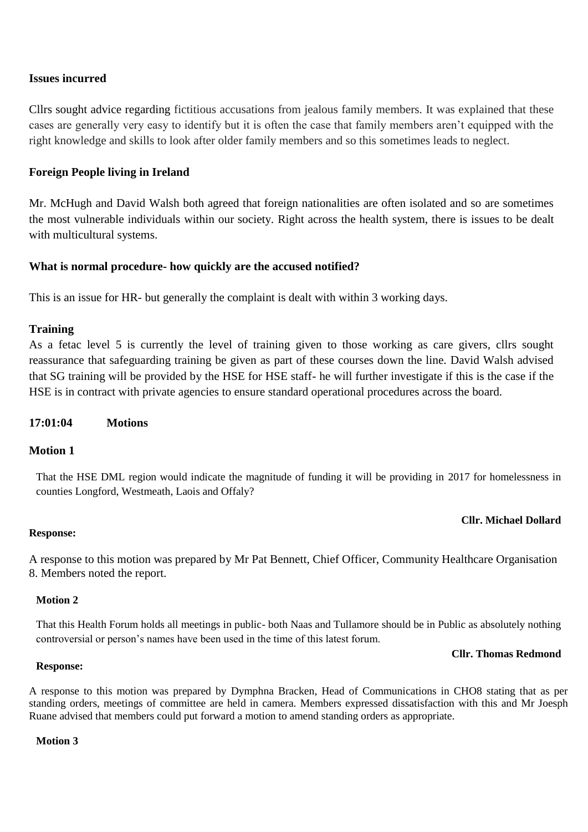## **Issues incurred**

Cllrs sought advice regarding fictitious accusations from jealous family members. It was explained that these cases are generally very easy to identify but it is often the case that family members aren't equipped with the right knowledge and skills to look after older family members and so this sometimes leads to neglect.

## **Foreign People living in Ireland**

Mr. McHugh and David Walsh both agreed that foreign nationalities are often isolated and so are sometimes the most vulnerable individuals within our society. Right across the health system, there is issues to be dealt with multicultural systems.

### **What is normal procedure- how quickly are the accused notified?**

This is an issue for HR- but generally the complaint is dealt with within 3 working days.

### **Training**

As a fetac level 5 is currently the level of training given to those working as care givers, cllrs sought reassurance that safeguarding training be given as part of these courses down the line. David Walsh advised that SG training will be provided by the HSE for HSE staff- he will further investigate if this is the case if the HSE is in contract with private agencies to ensure standard operational procedures across the board.

### **17:01:04 Motions**

### **Motion 1**

That the HSE DML region would indicate the magnitude of funding it will be providing in 2017 for homelessness in counties Longford, Westmeath, Laois and Offaly?

## **Cllr. Michael Dollard**

### **Response:**

A response to this motion was prepared by Mr Pat Bennett, Chief Officer, Community Healthcare Organisation 8. Members noted the report.

## **Motion 2**

That this Health Forum holds all meetings in public- both Naas and Tullamore should be in Public as absolutely nothing controversial or person's names have been used in the time of this latest forum.

#### **Cllr. Thomas Redmond**

#### **Response:**

A response to this motion was prepared by Dymphna Bracken, Head of Communications in CHO8 stating that as per standing orders, meetings of committee are held in camera. Members expressed dissatisfaction with this and Mr Joesph Ruane advised that members could put forward a motion to amend standing orders as appropriate.

#### **Motion 3**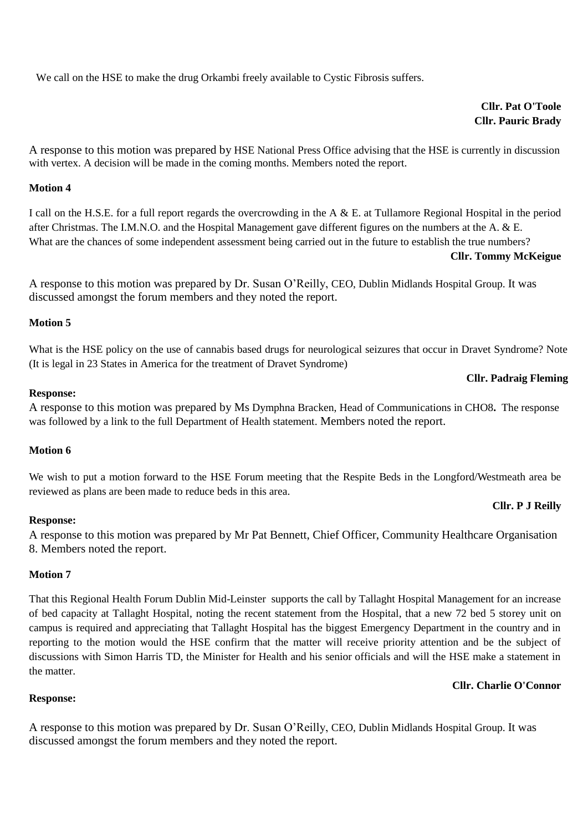We call on the HSE to make the drug Orkambi freely available to Cystic Fibrosis suffers.

## **Cllr. Pat O'Toole Cllr. Pauric Brady**

A response to this motion was prepared by HSE National Press Office advising that the HSE is currently in discussion with vertex. A decision will be made in the coming months. Members noted the report.

#### **Motion 4**

I call on the H.S.E. for a full report regards the overcrowding in the A & E. at Tullamore Regional Hospital in the period after Christmas. The I.M.N.O. and the Hospital Management gave different figures on the numbers at the A. & E. What are the chances of some independent assessment being carried out in the future to establish the true numbers?

#### **Cllr. Tommy McKeigue**

A response to this motion was prepared by Dr. Susan O'Reilly, CEO, Dublin Midlands Hospital Group. It was discussed amongst the forum members and they noted the report.

## **Motion 5**

What is the HSE policy on the use of cannabis based drugs for neurological seizures that occur in Dravet Syndrome? Note (It is legal in 23 States in America for the treatment of Dravet Syndrome)

#### **Cllr. Padraig Fleming**

#### **Response:**

A response to this motion was prepared by Ms Dymphna Bracken, Head of Communications in CHO8**.** The response was followed by a link to the full Department of Health statement. Members noted the report.

#### **Motion 6**

We wish to put a motion forward to the HSE Forum meeting that the Respite Beds in the Longford/Westmeath area be reviewed as plans are been made to reduce beds in this area.

#### **Response:**

A response to this motion was prepared by Mr Pat Bennett, Chief Officer, Community Healthcare Organisation 8. Members noted the report.

#### **Motion 7**

That this Regional Health Forum Dublin Mid-Leinster supports the call by Tallaght Hospital Management for an increase of bed capacity at Tallaght Hospital, noting the recent statement from the Hospital, that a new 72 bed 5 storey unit on campus is required and appreciating that Tallaght Hospital has the biggest Emergency Department in the country and in reporting to the motion would the HSE confirm that the matter will receive priority attention and be the subject of discussions with Simon Harris TD, the Minister for Health and his senior officials and will the HSE make a statement in the matter.

### **Cllr. Charlie O'Connor**

### **Response:**

A response to this motion was prepared by Dr. Susan O'Reilly, CEO, Dublin Midlands Hospital Group. It was discussed amongst the forum members and they noted the report.

### **Cllr. P J Reilly**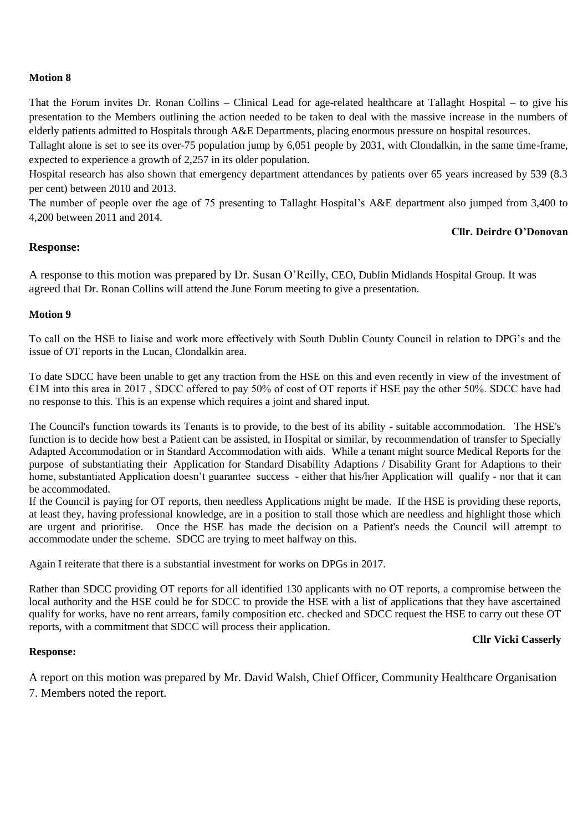#### **Motion 8**

That the Forum invites Dr. Ronan Collins – Clinical Lead for age-related healthcare at Tallaght Hospital – to give his presentation to the Members outlining the action needed to be taken to deal with the massive increase in the numbers of elderly patients admitted to Hospitals through A&E Departments, placing enormous pressure on hospital resources.

Tallaght alone is set to see its over-75 population jump by 6,051 people by 2031, with Clondalkin, in the same time-frame, expected to experience a growth of 2,257 in its older population.

Hospital research has also shown that emergency department attendances by patients over 65 years increased by 539 (8.3 per cent) between 2010 and 2013.

The number of people over the age of 75 presenting to Tallaght Hospital's A&E department also jumped from 3,400 to 4,200 between 2011 and 2014.

## **Cllr. Deirdre O'Donovan**

### **Response:**

A response to this motion was prepared by Dr. Susan O'Reilly, CEO, Dublin Midlands Hospital Group. It was agreed that Dr. Ronan Collins will attend the June Forum meeting to give a presentation.

#### **Motion 9**

To call on the HSE to liaise and work more effectively with South Dublin County Council in relation to DPG's and the issue of OT reports in the Lucan, Clondalkin area.

To date SDCC have been unable to get any traction from the HSE on this and even recently in view of the investment of €1M into this area in 2017 , SDCC offered to pay 50% of cost of OT reports if HSE pay the other 50%. SDCC have had no response to this. This is an expense which requires a joint and shared input.

The Council's function towards its Tenants is to provide, to the best of its ability - suitable accommodation. The HSE's function is to decide how best a Patient can be assisted, in Hospital or similar, by recommendation of transfer to Specially Adapted Accommodation or in Standard Accommodation with aids. While a tenant might source Medical Reports for the purpose of substantiating their Application for Standard Disability Adaptions / Disability Grant for Adaptions to their home, substantiated Application doesn't guarantee success - either that his/her Application will qualify - nor that it can be accommodated.

If the Council is paying for OT reports, then needless Applications might be made. If the HSE is providing these reports, at least they, having professional knowledge, are in a position to stall those which are needless and highlight those which are urgent and prioritise. Once the HSE has made the decision on a Patient's needs the Council will attempt to accommodate under the scheme. SDCC are trying to meet halfway on this.

Again I reiterate that there is a substantial investment for works on DPGs in 2017.

Rather than SDCC providing OT reports for all identified 130 applicants with no OT reports, a compromise between the local authority and the HSE could be for SDCC to provide the HSE with a list of applications that they have ascertained qualify for works, have no rent arrears, family composition etc. checked and SDCC request the HSE to carry out these OT reports, with a commitment that SDCC will process their application.

#### **Response:**

#### **Cllr Vicki Casserly**

A report on this motion was prepared by Mr. David Walsh, Chief Officer, Community Healthcare Organisation 7. Members noted the report.